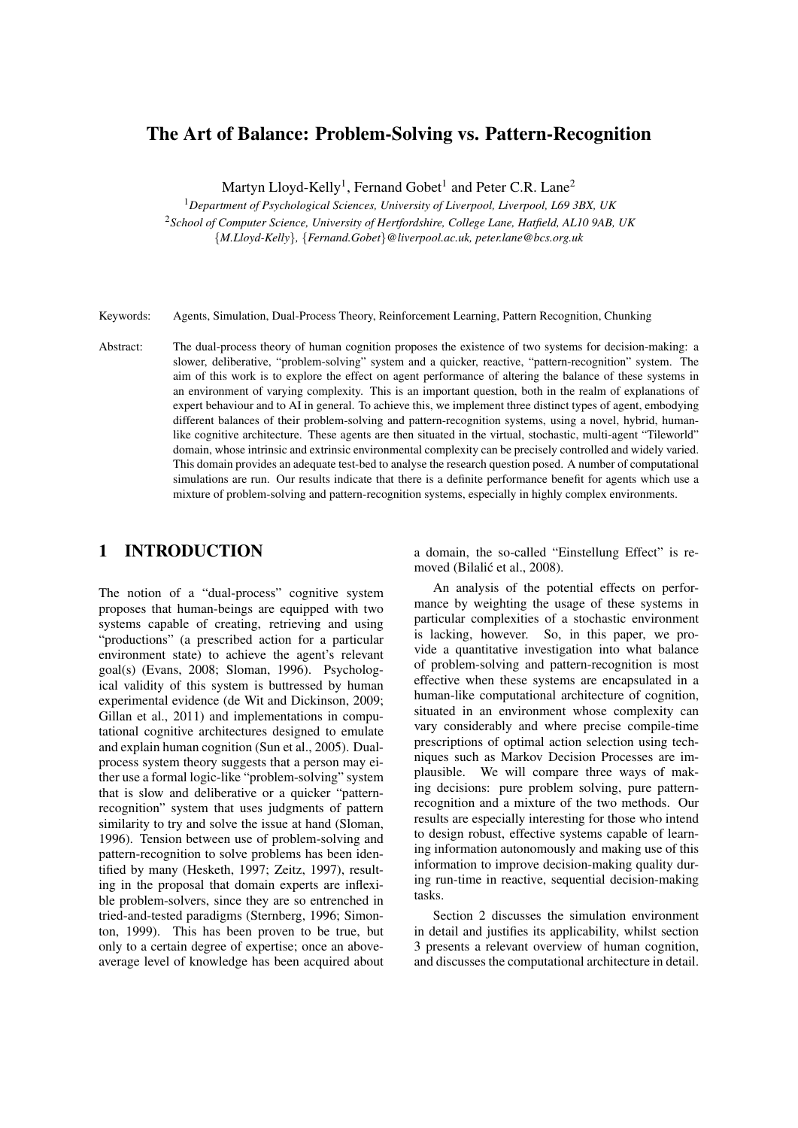# The Art of Balance: Problem-Solving vs. Pattern-Recognition

Martyn Lloyd-Kelly<sup>1</sup>, Fernand Gobet<sup>1</sup> and Peter C.R. Lane<sup>2</sup>

<sup>1</sup>*Department of Psychological Sciences, University of Liverpool, Liverpool, L69 3BX, UK*

<sup>2</sup>*School of Computer Science, University of Hertfordshire, College Lane, Hatfield, AL10 9AB, UK* {*M.Lloyd-Kelly*}*,* {*Fernand.Gobet*}*@liverpool.ac.uk, peter.lane@bcs.org.uk*

Keywords: Agents, Simulation, Dual-Process Theory, Reinforcement Learning, Pattern Recognition, Chunking

Abstract: The dual-process theory of human cognition proposes the existence of two systems for decision-making: a slower, deliberative, "problem-solving" system and a quicker, reactive, "pattern-recognition" system. The aim of this work is to explore the effect on agent performance of altering the balance of these systems in an environment of varying complexity. This is an important question, both in the realm of explanations of expert behaviour and to AI in general. To achieve this, we implement three distinct types of agent, embodying different balances of their problem-solving and pattern-recognition systems, using a novel, hybrid, humanlike cognitive architecture. These agents are then situated in the virtual, stochastic, multi-agent "Tileworld" domain, whose intrinsic and extrinsic environmental complexity can be precisely controlled and widely varied. This domain provides an adequate test-bed to analyse the research question posed. A number of computational simulations are run. Our results indicate that there is a definite performance benefit for agents which use a mixture of problem-solving and pattern-recognition systems, especially in highly complex environments.

# 1 INTRODUCTION

The notion of a "dual-process" cognitive system proposes that human-beings are equipped with two systems capable of creating, retrieving and using "productions" (a prescribed action for a particular environment state) to achieve the agent's relevant goal(s) (Evans, 2008; Sloman, 1996). Psychological validity of this system is buttressed by human experimental evidence (de Wit and Dickinson, 2009; Gillan et al., 2011) and implementations in computational cognitive architectures designed to emulate and explain human cognition (Sun et al., 2005). Dualprocess system theory suggests that a person may either use a formal logic-like "problem-solving" system that is slow and deliberative or a quicker "patternrecognition" system that uses judgments of pattern similarity to try and solve the issue at hand (Sloman, 1996). Tension between use of problem-solving and pattern-recognition to solve problems has been identified by many (Hesketh, 1997; Zeitz, 1997), resulting in the proposal that domain experts are inflexible problem-solvers, since they are so entrenched in tried-and-tested paradigms (Sternberg, 1996; Simonton, 1999). This has been proven to be true, but only to a certain degree of expertise; once an aboveaverage level of knowledge has been acquired about a domain, the so-called "Einstellung Effect" is removed (Bilalić et al., 2008).

An analysis of the potential effects on performance by weighting the usage of these systems in particular complexities of a stochastic environment is lacking, however. So, in this paper, we provide a quantitative investigation into what balance of problem-solving and pattern-recognition is most effective when these systems are encapsulated in a human-like computational architecture of cognition, situated in an environment whose complexity can vary considerably and where precise compile-time prescriptions of optimal action selection using techniques such as Markov Decision Processes are implausible. We will compare three ways of making decisions: pure problem solving, pure patternrecognition and a mixture of the two methods. Our results are especially interesting for those who intend to design robust, effective systems capable of learning information autonomously and making use of this information to improve decision-making quality during run-time in reactive, sequential decision-making tasks.

Section 2 discusses the simulation environment in detail and justifies its applicability, whilst section 3 presents a relevant overview of human cognition, and discusses the computational architecture in detail.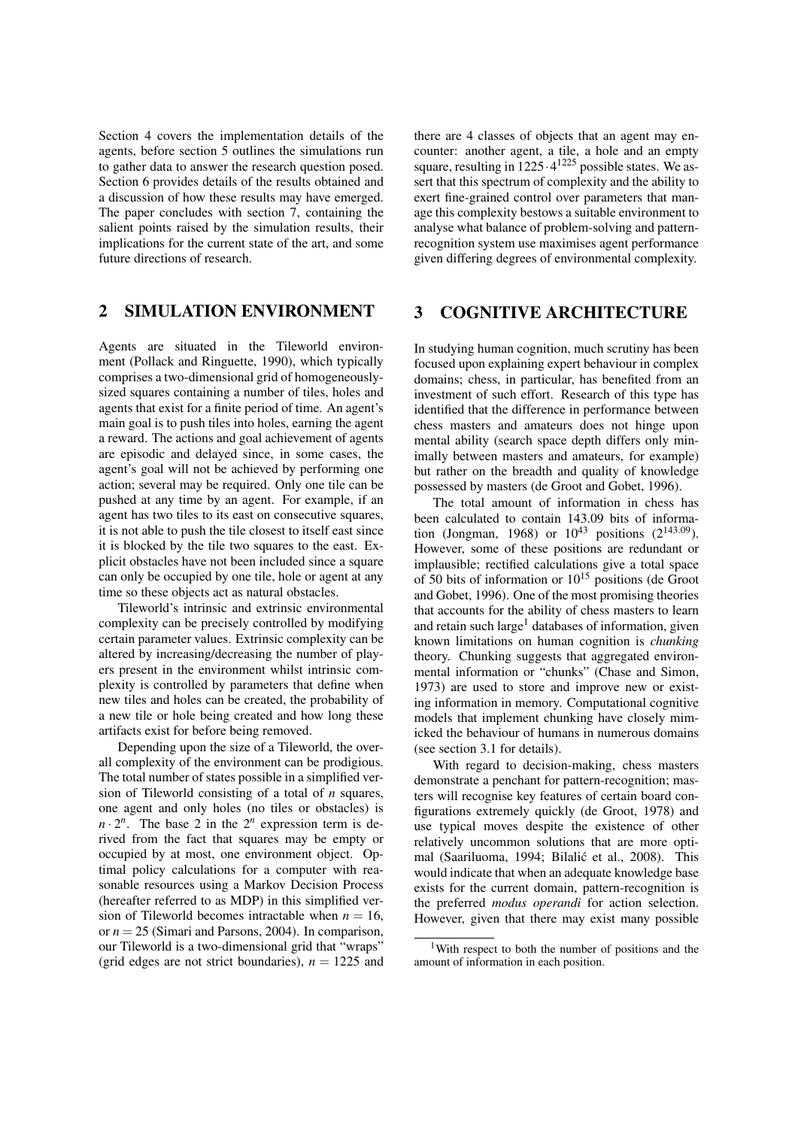Section 4 covers the implementation details of the agents, before section 5 outlines the simulations run to gather data to answer the research question posed. Section 6 provides details of the results obtained and a discussion of how these results may have emerged. The paper concludes with section 7, containing the salient points raised by the simulation results, their implications for the current state of the art, and some future directions of research.

### 2 SIMULATION ENVIRONMENT

Agents are situated in the Tileworld environment (Pollack and Ringuette, 1990), which typically comprises a two-dimensional grid of homogeneouslysized squares containing a number of tiles, holes and agents that exist for a finite period of time. An agent's main goal is to push tiles into holes, earning the agent a reward. The actions and goal achievement of agents are episodic and delayed since, in some cases, the agent's goal will not be achieved by performing one action; several may be required. Only one tile can be pushed at any time by an agent. For example, if an agent has two tiles to its east on consecutive squares, it is not able to push the tile closest to itself east since it is blocked by the tile two squares to the east. Explicit obstacles have not been included since a square can only be occupied by one tile, hole or agent at any time so these objects act as natural obstacles.

Tileworld's intrinsic and extrinsic environmental complexity can be precisely controlled by modifying certain parameter values. Extrinsic complexity can be altered by increasing/decreasing the number of players present in the environment whilst intrinsic complexity is controlled by parameters that define when new tiles and holes can be created, the probability of a new tile or hole being created and how long these artifacts exist for before being removed.

Depending upon the size of a Tileworld, the overall complexity of the environment can be prodigious. The total number of states possible in a simplified version of Tileworld consisting of a total of *n* squares, one agent and only holes (no tiles or obstacles) is  $n \cdot 2^n$ . The base 2 in the  $2^n$  expression term is derived from the fact that squares may be empty or occupied by at most, one environment object. Optimal policy calculations for a computer with reasonable resources using a Markov Decision Process (hereafter referred to as MDP) in this simplified version of Tileworld becomes intractable when  $n = 16$ , or  $n = 25$  (Simari and Parsons, 2004). In comparison, our Tileworld is a two-dimensional grid that "wraps" (grid edges are not strict boundaries),  $n = 1225$  and

there are 4 classes of objects that an agent may encounter: another agent, a tile, a hole and an empty square, resulting in  $1225 \cdot 4^{1225}$  possible states. We assert that this spectrum of complexity and the ability to exert fine-grained control over parameters that manage this complexity bestows a suitable environment to analyse what balance of problem-solving and patternrecognition system use maximises agent performance given differing degrees of environmental complexity.

## 3 COGNITIVE ARCHITECTURE

In studying human cognition, much scrutiny has been focused upon explaining expert behaviour in complex domains; chess, in particular, has benefited from an investment of such effort. Research of this type has identified that the difference in performance between chess masters and amateurs does not hinge upon mental ability (search space depth differs only minimally between masters and amateurs, for example) but rather on the breadth and quality of knowledge possessed by masters (de Groot and Gobet, 1996).

The total amount of information in chess has been calculated to contain 143.09 bits of information (Jongman, 1968) or  $10^{43}$  positions  $(2^{143.09})$ . However, some of these positions are redundant or implausible; rectified calculations give a total space of 50 bits of information or  $10^{15}$  positions (de Groot and Gobet, 1996). One of the most promising theories that accounts for the ability of chess masters to learn and retain such large<sup>1</sup> databases of information, given known limitations on human cognition is *chunking* theory. Chunking suggests that aggregated environmental information or "chunks" (Chase and Simon, 1973) are used to store and improve new or existing information in memory. Computational cognitive models that implement chunking have closely mimicked the behaviour of humans in numerous domains (see section 3.1 for details).

With regard to decision-making, chess masters demonstrate a penchant for pattern-recognition; masters will recognise key features of certain board configurations extremely quickly (de Groot, 1978) and use typical moves despite the existence of other relatively uncommon solutions that are more optimal (Saariluoma, 1994; Bilalić et al., 2008). This would indicate that when an adequate knowledge base exists for the current domain, pattern-recognition is the preferred *modus operandi* for action selection. However, given that there may exist many possible

<sup>1</sup>With respect to both the number of positions and the amount of information in each position.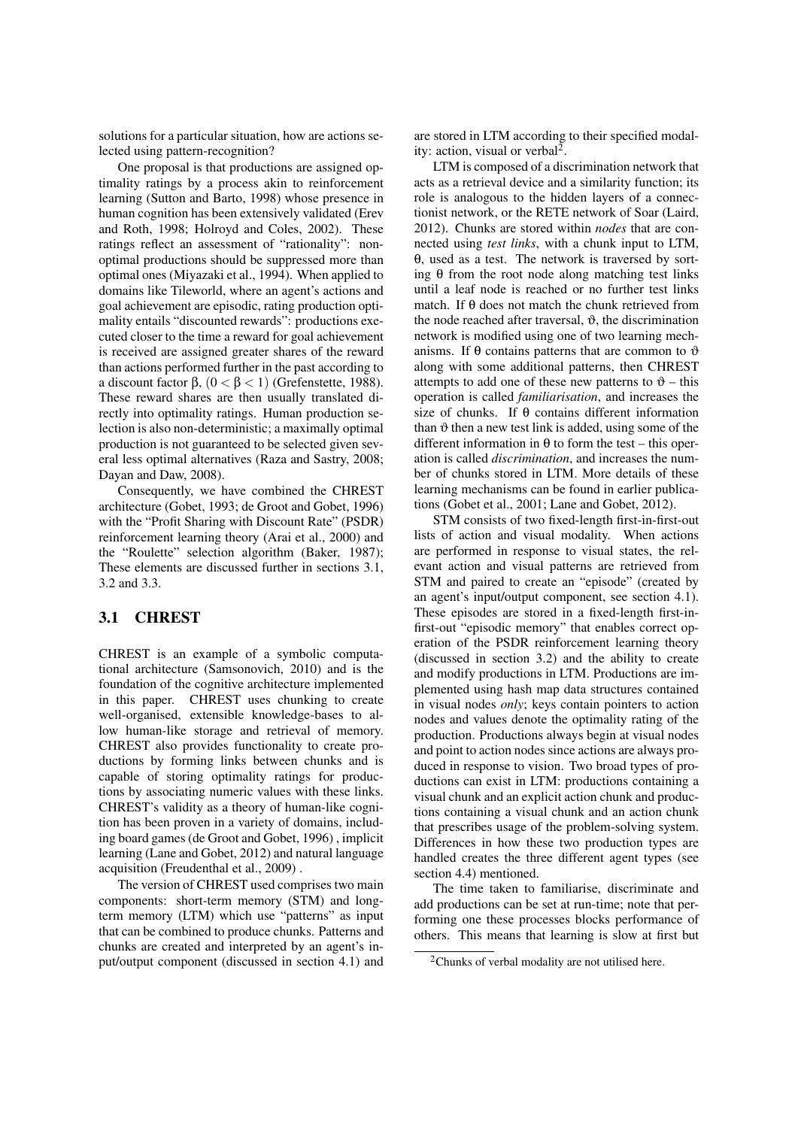solutions for a particular situation, how are actions selected using pattern-recognition?

One proposal is that productions are assigned optimality ratings by a process akin to reinforcement learning (Sutton and Barto, 1998) whose presence in human cognition has been extensively validated (Erev and Roth, 1998; Holroyd and Coles, 2002). These ratings reflect an assessment of "rationality": nonoptimal productions should be suppressed more than optimal ones (Miyazaki et al., 1994). When applied to domains like Tileworld, where an agent's actions and goal achievement are episodic, rating production optimality entails "discounted rewards": productions executed closer to the time a reward for goal achievement is received are assigned greater shares of the reward than actions performed further in the past according to a discount factor β,  $(0 < \beta < 1)$  (Grefenstette, 1988). These reward shares are then usually translated directly into optimality ratings. Human production selection is also non-deterministic; a maximally optimal production is not guaranteed to be selected given several less optimal alternatives (Raza and Sastry, 2008; Dayan and Daw, 2008).

Consequently, we have combined the CHREST architecture (Gobet, 1993; de Groot and Gobet, 1996) with the "Profit Sharing with Discount Rate" (PSDR) reinforcement learning theory (Arai et al., 2000) and the "Roulette" selection algorithm (Baker, 1987); These elements are discussed further in sections 3.1, 3.2 and 3.3.

## 3.1 CHREST

CHREST is an example of a symbolic computational architecture (Samsonovich, 2010) and is the foundation of the cognitive architecture implemented in this paper. CHREST uses chunking to create well-organised, extensible knowledge-bases to allow human-like storage and retrieval of memory. CHREST also provides functionality to create productions by forming links between chunks and is capable of storing optimality ratings for productions by associating numeric values with these links. CHREST's validity as a theory of human-like cognition has been proven in a variety of domains, including board games (de Groot and Gobet, 1996) , implicit learning (Lane and Gobet, 2012) and natural language acquisition (Freudenthal et al., 2009) .

The version of CHREST used comprises two main components: short-term memory (STM) and longterm memory (LTM) which use "patterns" as input that can be combined to produce chunks. Patterns and chunks are created and interpreted by an agent's input/output component (discussed in section 4.1) and

are stored in LTM according to their specified modality: action, visual or verbal<sup>2</sup>.

LTM is composed of a discrimination network that acts as a retrieval device and a similarity function; its role is analogous to the hidden layers of a connectionist network, or the RETE network of Soar (Laird, 2012). Chunks are stored within *nodes* that are connected using *test links*, with a chunk input to LTM, θ, used as a test. The network is traversed by sorting θ from the root node along matching test links until a leaf node is reached or no further test links match. If θ does not match the chunk retrieved from the node reached after traversal,  $\vartheta$ , the discrimination network is modified using one of two learning mechanisms. If  $\theta$  contains patterns that are common to  $\vartheta$ along with some additional patterns, then CHREST attempts to add one of these new patterns to  $\vartheta$  – this operation is called *familiarisation*, and increases the size of chunks. If θ contains different information than  $\vartheta$  then a new test link is added, using some of the different information in  $\theta$  to form the test – this operation is called *discrimination*, and increases the number of chunks stored in LTM. More details of these learning mechanisms can be found in earlier publications (Gobet et al., 2001; Lane and Gobet, 2012).

STM consists of two fixed-length first-in-first-out lists of action and visual modality. When actions are performed in response to visual states, the relevant action and visual patterns are retrieved from STM and paired to create an "episode" (created by an agent's input/output component, see section 4.1). These episodes are stored in a fixed-length first-infirst-out "episodic memory" that enables correct operation of the PSDR reinforcement learning theory (discussed in section 3.2) and the ability to create and modify productions in LTM. Productions are implemented using hash map data structures contained in visual nodes *only*; keys contain pointers to action nodes and values denote the optimality rating of the production. Productions always begin at visual nodes and point to action nodes since actions are always produced in response to vision. Two broad types of productions can exist in LTM: productions containing a visual chunk and an explicit action chunk and productions containing a visual chunk and an action chunk that prescribes usage of the problem-solving system. Differences in how these two production types are handled creates the three different agent types (see section 4.4) mentioned.

The time taken to familiarise, discriminate and add productions can be set at run-time; note that performing one these processes blocks performance of others. This means that learning is slow at first but

 $2$ Chunks of verbal modality are not utilised here.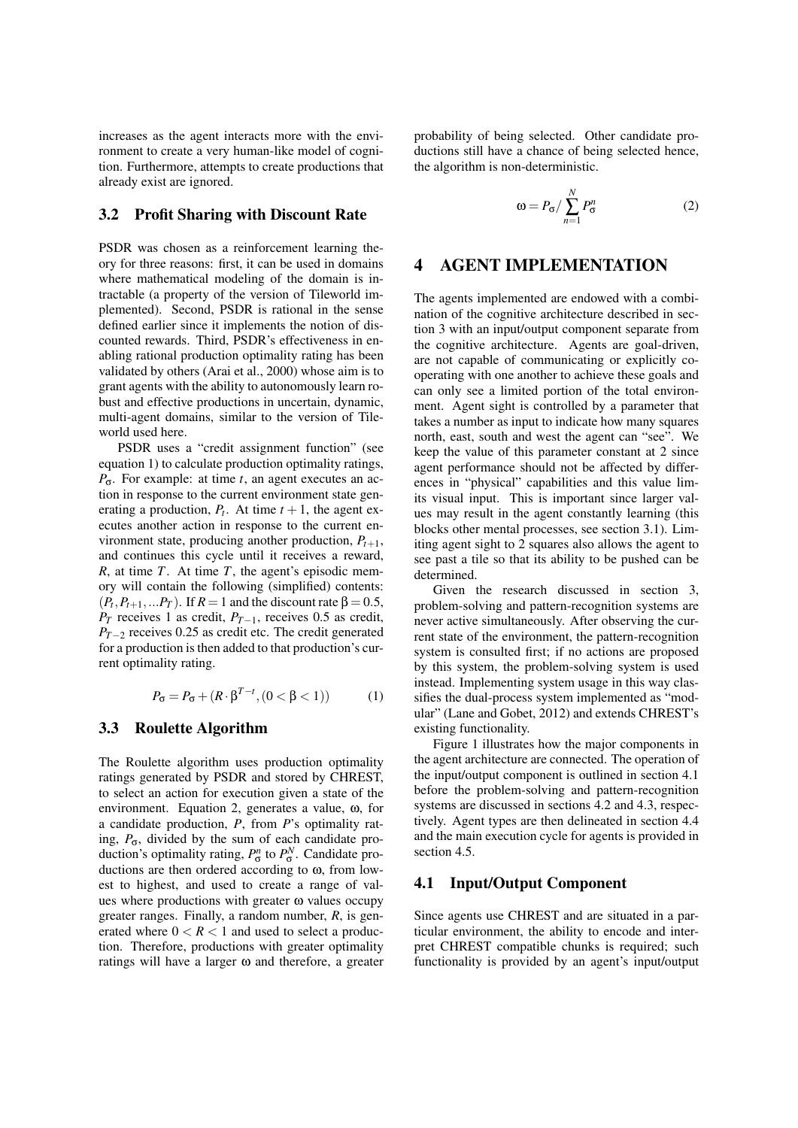increases as the agent interacts more with the environment to create a very human-like model of cognition. Furthermore, attempts to create productions that already exist are ignored.

#### 3.2 Profit Sharing with Discount Rate

PSDR was chosen as a reinforcement learning theory for three reasons: first, it can be used in domains where mathematical modeling of the domain is intractable (a property of the version of Tileworld implemented). Second, PSDR is rational in the sense defined earlier since it implements the notion of discounted rewards. Third, PSDR's effectiveness in enabling rational production optimality rating has been validated by others (Arai et al., 2000) whose aim is to grant agents with the ability to autonomously learn robust and effective productions in uncertain, dynamic, multi-agent domains, similar to the version of Tileworld used here.

PSDR uses a "credit assignment function" (see equation 1) to calculate production optimality ratings, *P*σ. For example: at time *t*, an agent executes an action in response to the current environment state generating a production,  $P_t$ . At time  $t + 1$ , the agent executes another action in response to the current environment state, producing another production,  $P_{t+1}$ , and continues this cycle until it receives a reward, *R*, at time *T*. At time *T*, the agent's episodic memory will contain the following (simplified) contents:  $(P_t, P_{t+1}, \ldots, P_T)$ . If  $R = 1$  and the discount rate  $\beta = 0.5$ , *P*<sup>*T*</sup> receives 1 as credit, *P*<sup>*T*−1</sup>, receives 0.5 as credit, *P*<sup>*T*−2</sup> receives 0.25 as credit etc. The credit generated for a production is then added to that production's current optimality rating.

$$
P_{\sigma} = P_{\sigma} + (R \cdot \beta^{T-t}, (0 < \beta < 1)) \tag{1}
$$

#### 3.3 Roulette Algorithm

The Roulette algorithm uses production optimality ratings generated by PSDR and stored by CHREST, to select an action for execution given a state of the environment. Equation 2, generates a value, ω, for a candidate production, *P*, from *P*'s optimality rating,  $P_{\sigma}$ , divided by the sum of each candidate production's optimality rating,  $P_{\sigma}^{n}$  to  $P_{\sigma}^{N}$ . Candidate productions are then ordered according to ω, from lowest to highest, and used to create a range of values where productions with greater ω values occupy greater ranges. Finally, a random number, *R*, is generated where  $0 < R < 1$  and used to select a production. Therefore, productions with greater optimality ratings will have a larger  $\omega$  and therefore, a greater probability of being selected. Other candidate productions still have a chance of being selected hence, the algorithm is non-deterministic.

$$
\omega = P_{\sigma} / \sum_{n=1}^{N} P_{\sigma}^{n}
$$
 (2)

### 4 AGENT IMPLEMENTATION

The agents implemented are endowed with a combination of the cognitive architecture described in section 3 with an input/output component separate from the cognitive architecture. Agents are goal-driven, are not capable of communicating or explicitly cooperating with one another to achieve these goals and can only see a limited portion of the total environment. Agent sight is controlled by a parameter that takes a number as input to indicate how many squares north, east, south and west the agent can "see". We keep the value of this parameter constant at 2 since agent performance should not be affected by differences in "physical" capabilities and this value limits visual input. This is important since larger values may result in the agent constantly learning (this blocks other mental processes, see section 3.1). Limiting agent sight to 2 squares also allows the agent to see past a tile so that its ability to be pushed can be determined.

Given the research discussed in section 3, problem-solving and pattern-recognition systems are never active simultaneously. After observing the current state of the environment, the pattern-recognition system is consulted first; if no actions are proposed by this system, the problem-solving system is used instead. Implementing system usage in this way classifies the dual-process system implemented as "modular" (Lane and Gobet, 2012) and extends CHREST's existing functionality.

Figure 1 illustrates how the major components in the agent architecture are connected. The operation of the input/output component is outlined in section 4.1 before the problem-solving and pattern-recognition systems are discussed in sections 4.2 and 4.3, respectively. Agent types are then delineated in section 4.4 and the main execution cycle for agents is provided in section 4.5.

## 4.1 Input/Output Component

Since agents use CHREST and are situated in a particular environment, the ability to encode and interpret CHREST compatible chunks is required; such functionality is provided by an agent's input/output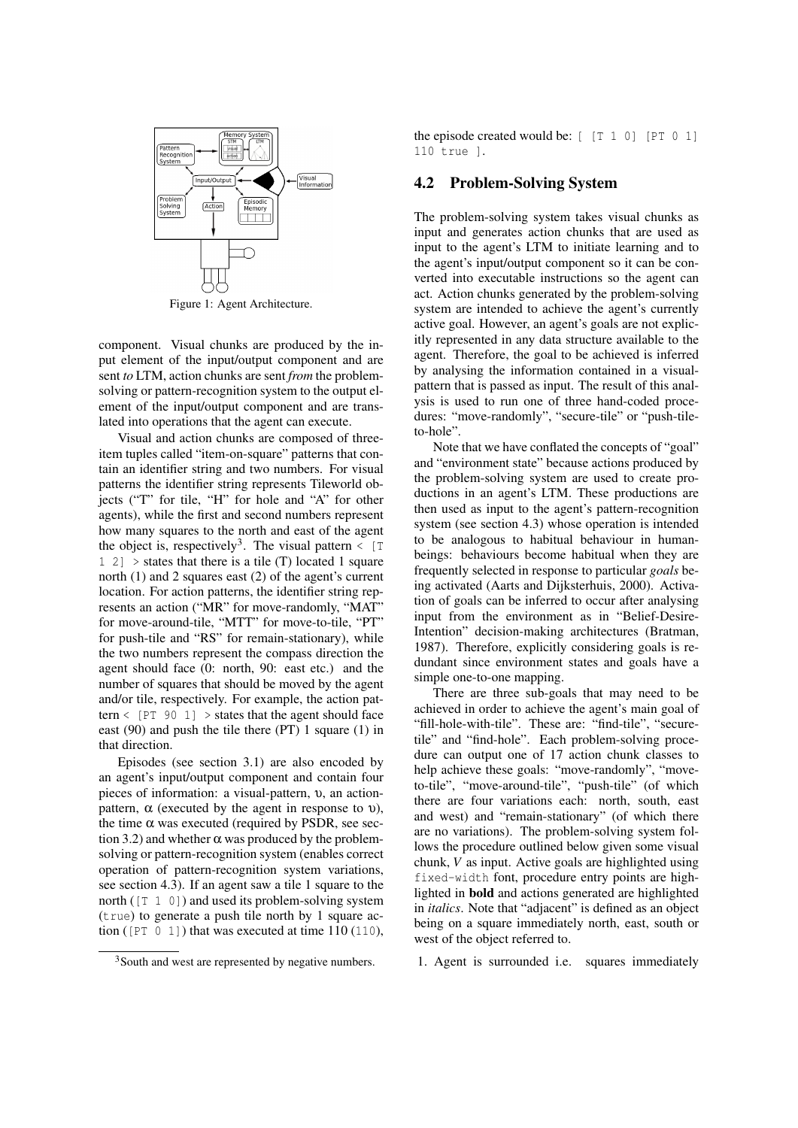

Figure 1: Agent Architecture.

component. Visual chunks are produced by the input element of the input/output component and are sent *to* LTM, action chunks are sent *from* the problemsolving or pattern-recognition system to the output element of the input/output component and are translated into operations that the agent can execute.

Visual and action chunks are composed of threeitem tuples called "item-on-square" patterns that contain an identifier string and two numbers. For visual patterns the identifier string represents Tileworld objects ("T" for tile, "H" for hole and "A" for other agents), while the first and second numbers represent how many squares to the north and east of the agent the object is, respectively<sup>3</sup>. The visual pattern  $\leq$  [T  $1 \ 2$  > states that there is a tile (T) located 1 square north (1) and 2 squares east (2) of the agent's current location. For action patterns, the identifier string represents an action ("MR" for move-randomly, "MAT" for move-around-tile, "MTT" for move-to-tile, "PT" for push-tile and "RS" for remain-stationary), while the two numbers represent the compass direction the agent should face (0: north, 90: east etc.) and the number of squares that should be moved by the agent and/or tile, respectively. For example, the action pattern  $\langle$  [PT 90 1]  $\rangle$  states that the agent should face east (90) and push the tile there (PT) 1 square (1) in that direction.

Episodes (see section 3.1) are also encoded by an agent's input/output component and contain four pieces of information: a visual-pattern, υ, an actionpattern,  $\alpha$  (executed by the agent in response to υ), the time  $\alpha$  was executed (required by PSDR, see section 3.2) and whether  $\alpha$  was produced by the problemsolving or pattern-recognition system (enables correct operation of pattern-recognition system variations, see section 4.3). If an agent saw a tile 1 square to the north ([T 1 0]) and used its problem-solving system (true) to generate a push tile north by 1 square action ( $[PT 0 1]$ ) that was executed at time 110 (110),

<sup>3</sup>South and west are represented by negative numbers.

the episode created would be:  $[$  [T 1 0] [PT 0 1] 110 true ].

#### 4.2 Problem-Solving System

The problem-solving system takes visual chunks as input and generates action chunks that are used as input to the agent's LTM to initiate learning and to the agent's input/output component so it can be converted into executable instructions so the agent can act. Action chunks generated by the problem-solving system are intended to achieve the agent's currently active goal. However, an agent's goals are not explicitly represented in any data structure available to the agent. Therefore, the goal to be achieved is inferred by analysing the information contained in a visualpattern that is passed as input. The result of this analysis is used to run one of three hand-coded procedures: "move-randomly", "secure-tile" or "push-tileto-hole".

Note that we have conflated the concepts of "goal" and "environment state" because actions produced by the problem-solving system are used to create productions in an agent's LTM. These productions are then used as input to the agent's pattern-recognition system (see section 4.3) whose operation is intended to be analogous to habitual behaviour in humanbeings: behaviours become habitual when they are frequently selected in response to particular *goals* being activated (Aarts and Dijksterhuis, 2000). Activation of goals can be inferred to occur after analysing input from the environment as in "Belief-Desire-Intention" decision-making architectures (Bratman, 1987). Therefore, explicitly considering goals is redundant since environment states and goals have a simple one-to-one mapping.

There are three sub-goals that may need to be achieved in order to achieve the agent's main goal of "fill-hole-with-tile". These are: "find-tile", "securetile" and "find-hole". Each problem-solving procedure can output one of 17 action chunk classes to help achieve these goals: "move-randomly", "moveto-tile", "move-around-tile", "push-tile" (of which there are four variations each: north, south, east and west) and "remain-stationary" (of which there are no variations). The problem-solving system follows the procedure outlined below given some visual chunk, *V* as input. Active goals are highlighted using fixed-width font, procedure entry points are highlighted in bold and actions generated are highlighted in *italics*. Note that "adjacent" is defined as an object being on a square immediately north, east, south or west of the object referred to.

1. Agent is surrounded i.e. squares immediately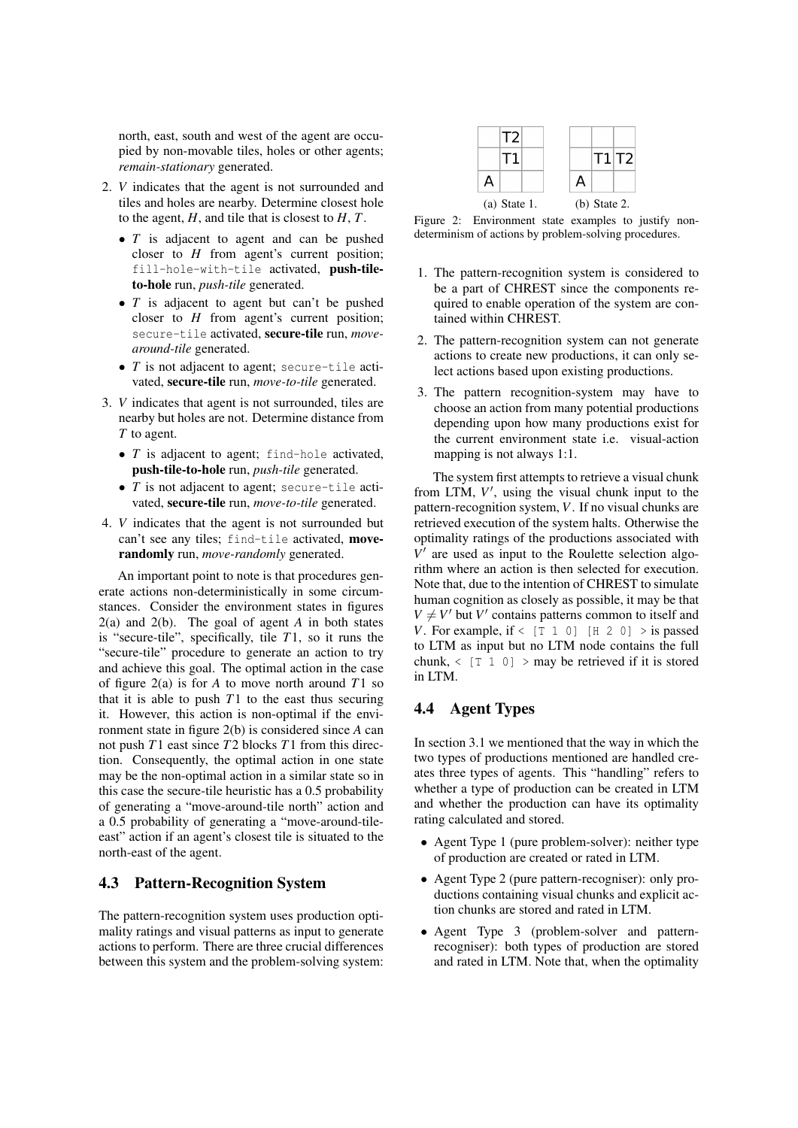north, east, south and west of the agent are occupied by non-movable tiles, holes or other agents; *remain-stationary* generated.

- 2. *V* indicates that the agent is not surrounded and tiles and holes are nearby. Determine closest hole to the agent, *H*, and tile that is closest to *H*, *T*.
	- *T* is adjacent to agent and can be pushed closer to *H* from agent's current position; fill-hole-with-tile activated, push-tileto-hole run, *push-tile* generated.
	- *T* is adjacent to agent but can't be pushed closer to *H* from agent's current position; secure-tile activated, secure-tile run, *movearound-tile* generated.
	- *T* is not adjacent to agent; secure-tile activated, secure-tile run, *move-to-tile* generated.
- 3. *V* indicates that agent is not surrounded, tiles are nearby but holes are not. Determine distance from *T* to agent.
	- *T* is adjacent to agent; find-hole activated, push-tile-to-hole run, *push-tile* generated.
	- *T* is not adjacent to agent; secure-tile activated, secure-tile run, *move-to-tile* generated.
- 4. *V* indicates that the agent is not surrounded but can't see any tiles; find-tile activated, moverandomly run, *move-randomly* generated.

An important point to note is that procedures generate actions non-deterministically in some circumstances. Consider the environment states in figures 2(a) and 2(b). The goal of agent *A* in both states is "secure-tile", specifically, tile *T*1, so it runs the "secure-tile" procedure to generate an action to try and achieve this goal. The optimal action in the case of figure 2(a) is for *A* to move north around *T*1 so that it is able to push  $T1$  to the east thus securing it. However, this action is non-optimal if the environment state in figure 2(b) is considered since *A* can not push *T*1 east since *T*2 blocks *T*1 from this direction. Consequently, the optimal action in one state may be the non-optimal action in a similar state so in this case the secure-tile heuristic has a 0.5 probability of generating a "move-around-tile north" action and a 0.5 probability of generating a "move-around-tileeast" action if an agent's closest tile is situated to the north-east of the agent.

#### 4.3 Pattern-Recognition System

The pattern-recognition system uses production optimality ratings and visual patterns as input to generate actions to perform. There are three crucial differences between this system and the problem-solving system:

|                |  |  |                |  | T1 T2 |
|----------------|--|--|----------------|--|-------|
| А              |  |  | A              |  |       |
| $(a)$ State 1. |  |  | $(b)$ State 2. |  |       |

Figure 2: Environment state examples to justify nondeterminism of actions by problem-solving procedures.

- 1. The pattern-recognition system is considered to be a part of CHREST since the components required to enable operation of the system are contained within CHREST.
- 2. The pattern-recognition system can not generate actions to create new productions, it can only select actions based upon existing productions.
- 3. The pattern recognition-system may have to choose an action from many potential productions depending upon how many productions exist for the current environment state i.e. visual-action mapping is not always 1:1.

The system first attempts to retrieve a visual chunk from LTM,  $V'$ , using the visual chunk input to the pattern-recognition system, *V*. If no visual chunks are retrieved execution of the system halts. Otherwise the optimality ratings of the productions associated with  $V'$  are used as input to the Roulette selection algorithm where an action is then selected for execution. Note that, due to the intention of CHREST to simulate human cognition as closely as possible, it may be that  $V \neq V'$  but *V'* contains patterns common to itself and *V*. For example, if  $\leq$  [T 1 0] [H 2 0]  $>$  is passed to LTM as input but no LTM node contains the full chunk,  $\langle$  [T 1 0] > may be retrieved if it is stored in LTM.

### 4.4 Agent Types

In section 3.1 we mentioned that the way in which the two types of productions mentioned are handled creates three types of agents. This "handling" refers to whether a type of production can be created in LTM and whether the production can have its optimality rating calculated and stored.

- Agent Type 1 (pure problem-solver): neither type of production are created or rated in LTM.
- Agent Type 2 (pure pattern-recogniser): only productions containing visual chunks and explicit action chunks are stored and rated in LTM.
- Agent Type 3 (problem-solver and patternrecogniser): both types of production are stored and rated in LTM. Note that, when the optimality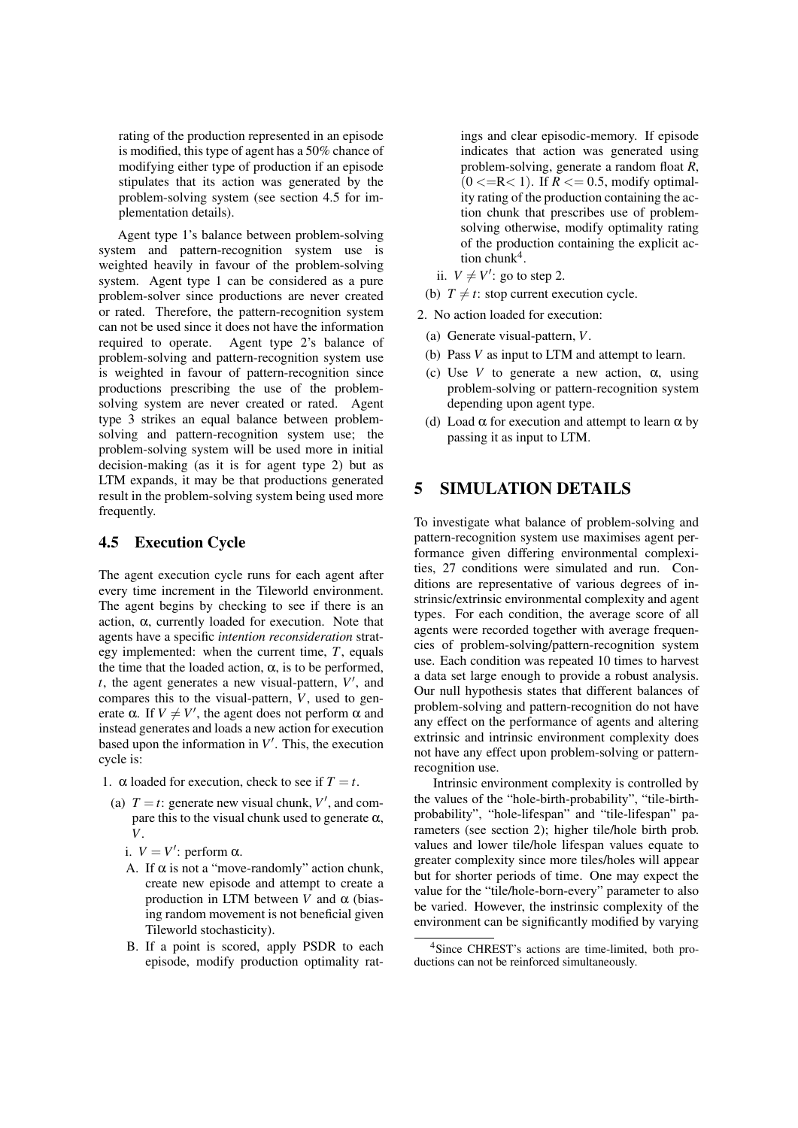rating of the production represented in an episode is modified, this type of agent has a 50% chance of modifying either type of production if an episode stipulates that its action was generated by the problem-solving system (see section 4.5 for implementation details).

Agent type 1's balance between problem-solving system and pattern-recognition system use is weighted heavily in favour of the problem-solving system. Agent type 1 can be considered as a pure problem-solver since productions are never created or rated. Therefore, the pattern-recognition system can not be used since it does not have the information required to operate. Agent type 2's balance of problem-solving and pattern-recognition system use is weighted in favour of pattern-recognition since productions prescribing the use of the problemsolving system are never created or rated. Agent type 3 strikes an equal balance between problemsolving and pattern-recognition system use; the problem-solving system will be used more in initial decision-making (as it is for agent type 2) but as LTM expands, it may be that productions generated result in the problem-solving system being used more frequently.

### 4.5 Execution Cycle

The agent execution cycle runs for each agent after every time increment in the Tileworld environment. The agent begins by checking to see if there is an action, α, currently loaded for execution. Note that agents have a specific *intention reconsideration* strategy implemented: when the current time, *T*, equals the time that the loaded action,  $\alpha$ , is to be performed,  $t$ , the agent generates a new visual-pattern,  $V'$ , and compares this to the visual-pattern, *V*, used to generate  $\alpha$ . If  $V \neq V'$ , the agent does not perform  $\alpha$  and instead generates and loads a new action for execution based upon the information in  $V'$ . This, the execution cycle is:

- 1.  $\alpha$  loaded for execution, check to see if  $T = t$ .
	- (a)  $T = t$ : generate new visual chunk,  $V'$ , and compare this to the visual chunk used to generate  $\alpha$ , *V*.
		- i.  $V = V'$ : perform  $\alpha$ .
		- A. If  $\alpha$  is not a "move-randomly" action chunk, create new episode and attempt to create a production in LTM between  $V$  and  $\alpha$  (biasing random movement is not beneficial given Tileworld stochasticity).
		- B. If a point is scored, apply PSDR to each episode, modify production optimality rat-

ings and clear episodic-memory. If episode indicates that action was generated using problem-solving, generate a random float *R*,  $(0 \le R \le 1)$ . If  $R \le 0.5$ , modify optimality rating of the production containing the action chunk that prescribes use of problemsolving otherwise, modify optimality rating of the production containing the explicit action chunk<sup>4</sup>.

- ii.  $V \neq V'$ : go to step 2.
- (b)  $T \neq t$ : stop current execution cycle.
- 2. No action loaded for execution:
	- (a) Generate visual-pattern, *V*.
	- (b) Pass *V* as input to LTM and attempt to learn.
	- (c) Use *V* to generate a new action,  $\alpha$ , using problem-solving or pattern-recognition system depending upon agent type.
	- (d) Load  $\alpha$  for execution and attempt to learn  $\alpha$  by passing it as input to LTM.

## 5 SIMULATION DETAILS

To investigate what balance of problem-solving and pattern-recognition system use maximises agent performance given differing environmental complexities, 27 conditions were simulated and run. Conditions are representative of various degrees of instrinsic/extrinsic environmental complexity and agent types. For each condition, the average score of all agents were recorded together with average frequencies of problem-solving/pattern-recognition system use. Each condition was repeated 10 times to harvest a data set large enough to provide a robust analysis. Our null hypothesis states that different balances of problem-solving and pattern-recognition do not have any effect on the performance of agents and altering extrinsic and intrinsic environment complexity does not have any effect upon problem-solving or patternrecognition use.

Intrinsic environment complexity is controlled by the values of the "hole-birth-probability", "tile-birthprobability", "hole-lifespan" and "tile-lifespan" parameters (see section 2); higher tile/hole birth prob. values and lower tile/hole lifespan values equate to greater complexity since more tiles/holes will appear but for shorter periods of time. One may expect the value for the "tile/hole-born-every" parameter to also be varied. However, the instrinsic complexity of the environment can be significantly modified by varying

<sup>4</sup>Since CHREST's actions are time-limited, both productions can not be reinforced simultaneously.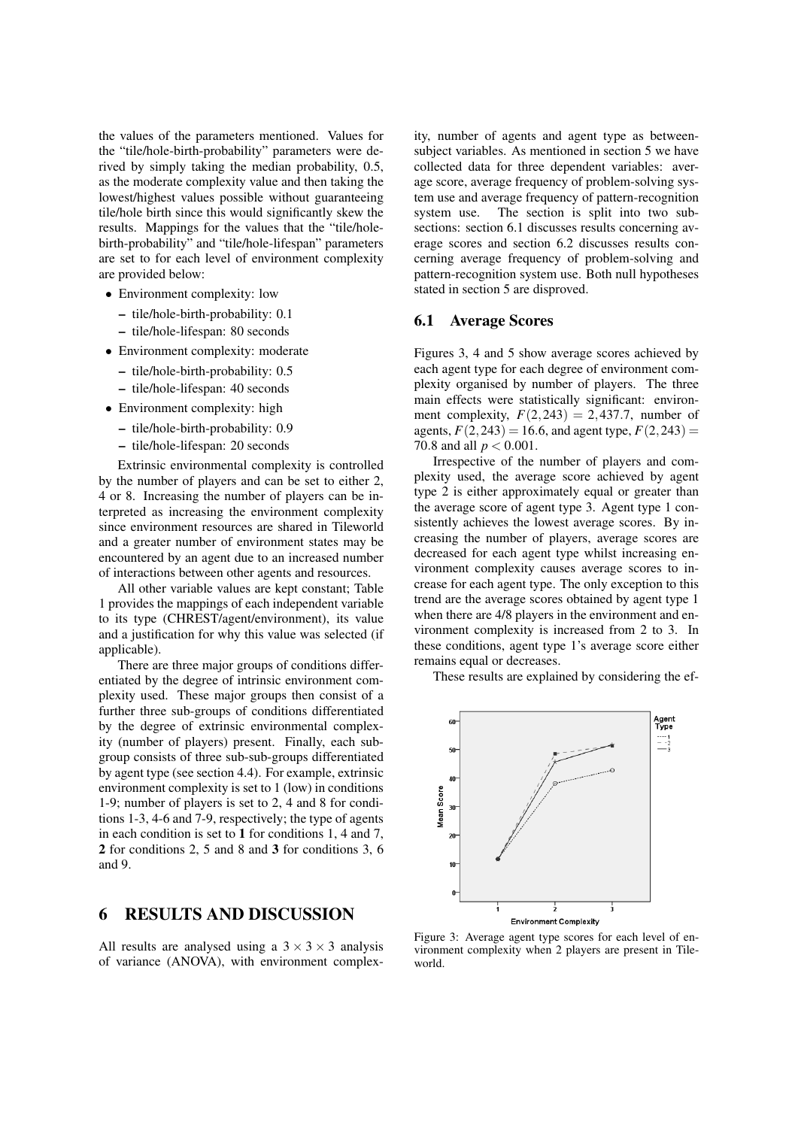the values of the parameters mentioned. Values for the "tile/hole-birth-probability" parameters were derived by simply taking the median probability, 0.5, as the moderate complexity value and then taking the lowest/highest values possible without guaranteeing tile/hole birth since this would significantly skew the results. Mappings for the values that the "tile/holebirth-probability" and "tile/hole-lifespan" parameters are set to for each level of environment complexity are provided below:

- Environment complexity: low
	- tile/hole-birth-probability: 0.1
	- tile/hole-lifespan: 80 seconds
- Environment complexity: moderate
	- tile/hole-birth-probability: 0.5
	- tile/hole-lifespan: 40 seconds
- Environment complexity: high
	- tile/hole-birth-probability: 0.9
	- tile/hole-lifespan: 20 seconds

Extrinsic environmental complexity is controlled by the number of players and can be set to either 2, 4 or 8. Increasing the number of players can be interpreted as increasing the environment complexity since environment resources are shared in Tileworld and a greater number of environment states may be encountered by an agent due to an increased number of interactions between other agents and resources.

All other variable values are kept constant; Table 1 provides the mappings of each independent variable to its type (CHREST/agent/environment), its value and a justification for why this value was selected (if applicable).

There are three major groups of conditions differentiated by the degree of intrinsic environment complexity used. These major groups then consist of a further three sub-groups of conditions differentiated by the degree of extrinsic environmental complexity (number of players) present. Finally, each subgroup consists of three sub-sub-groups differentiated by agent type (see section 4.4). For example, extrinsic environment complexity is set to 1 (low) in conditions 1-9; number of players is set to 2, 4 and 8 for conditions 1-3, 4-6 and 7-9, respectively; the type of agents in each condition is set to 1 for conditions 1, 4 and 7, 2 for conditions 2, 5 and 8 and 3 for conditions 3, 6 and 9.

## 6 RESULTS AND DISCUSSION

All results are analysed using a  $3 \times 3 \times 3$  analysis of variance (ANOVA), with environment complexity, number of agents and agent type as betweensubject variables. As mentioned in section 5 we have collected data for three dependent variables: average score, average frequency of problem-solving system use and average frequency of pattern-recognition system use. The section is split into two subsections: section 6.1 discusses results concerning average scores and section 6.2 discusses results concerning average frequency of problem-solving and pattern-recognition system use. Both null hypotheses stated in section 5 are disproved.

#### 6.1 Average Scores

Figures 3, 4 and 5 show average scores achieved by each agent type for each degree of environment complexity organised by number of players. The three main effects were statistically significant: environment complexity,  $F(2,243) = 2,437.7$ , number of agents,  $F(2,243) = 16.6$ , and agent type,  $F(2,243) =$ 70.8 and all *p* < 0.001.

Irrespective of the number of players and complexity used, the average score achieved by agent type 2 is either approximately equal or greater than the average score of agent type 3. Agent type 1 consistently achieves the lowest average scores. By increasing the number of players, average scores are decreased for each agent type whilst increasing environment complexity causes average scores to increase for each agent type. The only exception to this trend are the average scores obtained by agent type 1 when there are  $4/8$  players in the environment and environment complexity is increased from 2 to 3. In these conditions, agent type 1's average score either remains equal or decreases.

These results are explained by considering the ef-



Figure 3: Average agent type scores for each level of environment complexity when 2 players are present in Tileworld.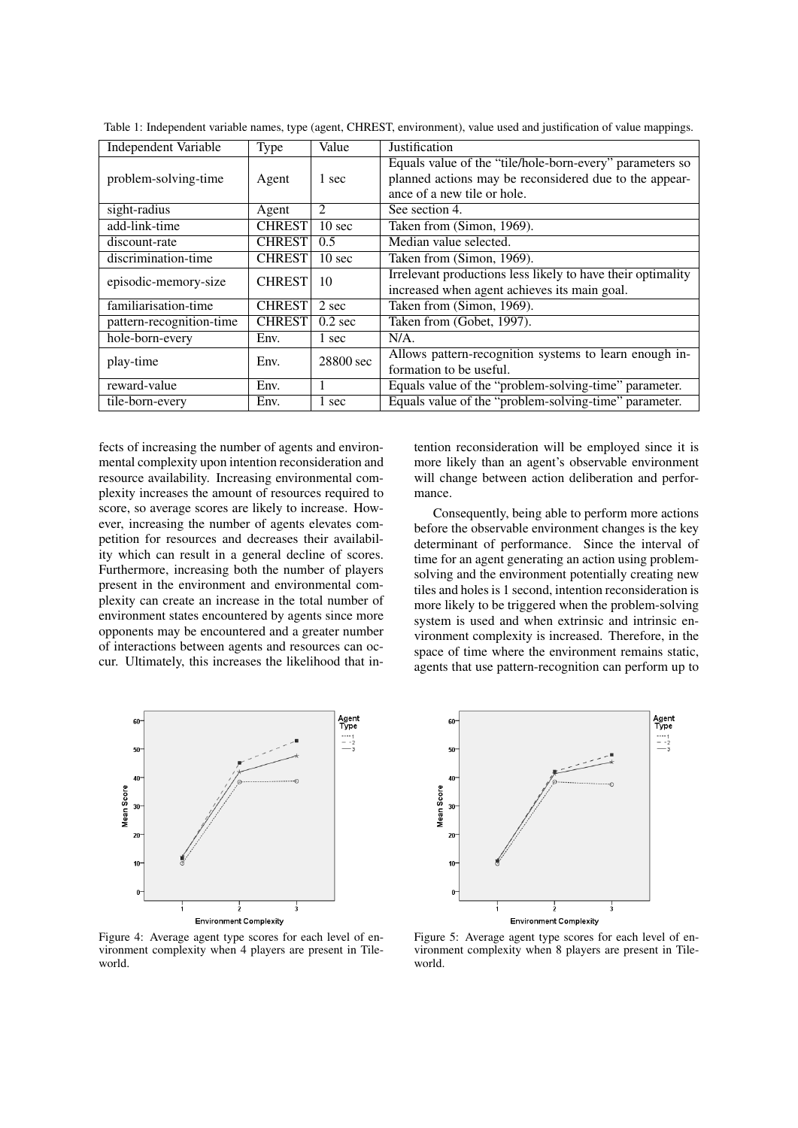| <b>Independent Variable</b> | Type          | Value             | <b>Justification</b>                                                                                                                              |
|-----------------------------|---------------|-------------------|---------------------------------------------------------------------------------------------------------------------------------------------------|
| problem-solving-time        | Agent         | 1 sec             | Equals value of the "tile/hole-born-every" parameters so<br>planned actions may be reconsidered due to the appear-<br>ance of a new tile or hole. |
| sight-radius                | Agent         | $\mathfrak{D}$    | See section 4.                                                                                                                                    |
| add-link-time               | <b>CHREST</b> | 10 <sub>sec</sub> | Taken from (Simon, 1969).                                                                                                                         |
| discount-rate               | <b>CHREST</b> | 0.5               | Median value selected.                                                                                                                            |
| discrimination-time         | <b>CHREST</b> | 10 <sub>sec</sub> | Taken from (Simon, 1969).                                                                                                                         |
| episodic-memory-size        | <b>CHREST</b> | 10                | Irrelevant productions less likely to have their optimality<br>increased when agent achieves its main goal.                                       |
| familiarisation-time        | <b>CHREST</b> | 2 sec             | Taken from (Simon, 1969).                                                                                                                         |
| pattern-recognition-time    | <b>CHREST</b> | $0.2$ sec         | Taken from (Gobet, 1997).                                                                                                                         |
| hole-born-every             | Env.          | 1 sec             | $N/A$ .                                                                                                                                           |
| play-time                   | Env.          | 28800 sec         | Allows pattern-recognition systems to learn enough in-<br>formation to be useful.                                                                 |
| reward-value                | Env.          | л.                | Equals value of the "problem-solving-time" parameter.                                                                                             |
| tile-born-every             | Env.          | 1 sec             | Equals value of the "problem-solving-time" parameter.                                                                                             |

Table 1: Independent variable names, type (agent, CHREST, environment), value used and justification of value mappings.

fects of increasing the number of agents and environmental complexity upon intention reconsideration and resource availability. Increasing environmental complexity increases the amount of resources required to score, so average scores are likely to increase. However, increasing the number of agents elevates competition for resources and decreases their availability which can result in a general decline of scores. Furthermore, increasing both the number of players present in the environment and environmental complexity can create an increase in the total number of environment states encountered by agents since more opponents may be encountered and a greater number of interactions between agents and resources can occur. Ultimately, this increases the likelihood that in-



Figure 4: Average agent type scores for each level of environment complexity when 4 players are present in Tileworld.

tention reconsideration will be employed since it is more likely than an agent's observable environment will change between action deliberation and performance.

Consequently, being able to perform more actions before the observable environment changes is the key determinant of performance. Since the interval of time for an agent generating an action using problemsolving and the environment potentially creating new tiles and holes is 1 second, intention reconsideration is more likely to be triggered when the problem-solving system is used and when extrinsic and intrinsic environment complexity is increased. Therefore, in the space of time where the environment remains static, agents that use pattern-recognition can perform up to



Figure 5: Average agent type scores for each level of environment complexity when 8 players are present in Tileworld.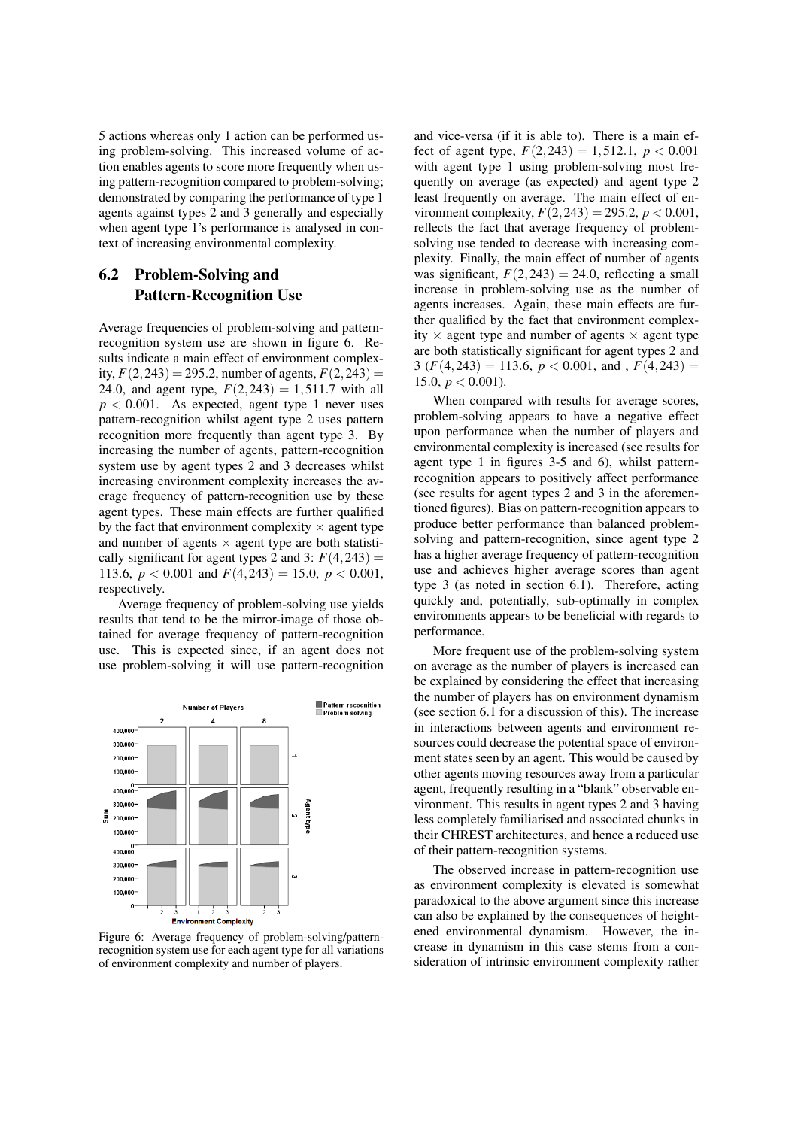5 actions whereas only 1 action can be performed using problem-solving. This increased volume of action enables agents to score more frequently when using pattern-recognition compared to problem-solving; demonstrated by comparing the performance of type 1 agents against types 2 and 3 generally and especially when agent type 1's performance is analysed in context of increasing environmental complexity.

# 6.2 Problem-Solving and Pattern-Recognition Use

Average frequencies of problem-solving and patternrecognition system use are shown in figure 6. Results indicate a main effect of environment complexity,  $F(2,243) = 295.2$ , number of agents,  $F(2,243) =$ 24.0, and agent type,  $F(2,243) = 1,511.7$  with all  $p < 0.001$ . As expected, agent type 1 never uses pattern-recognition whilst agent type 2 uses pattern recognition more frequently than agent type 3. By increasing the number of agents, pattern-recognition system use by agent types 2 and 3 decreases whilst increasing environment complexity increases the average frequency of pattern-recognition use by these agent types. These main effects are further qualified by the fact that environment complexity  $\times$  agent type and number of agents  $\times$  agent type are both statistically significant for agent types 2 and 3:  $F(4,243) =$ 113.6,  $p < 0.001$  and  $F(4,243) = 15.0$ ,  $p < 0.001$ , respectively.

Average frequency of problem-solving use yields results that tend to be the mirror-image of those obtained for average frequency of pattern-recognition use. This is expected since, if an agent does not use problem-solving it will use pattern-recognition



Figure 6: Average frequency of problem-solving/patternrecognition system use for each agent type for all variations of environment complexity and number of players.

and vice-versa (if it is able to). There is a main effect of agent type,  $F(2,243) = 1,512.1, p < 0.001$ with agent type 1 using problem-solving most frequently on average (as expected) and agent type 2 least frequently on average. The main effect of environment complexity,  $F(2,243) = 295.2$ ,  $p < 0.001$ , reflects the fact that average frequency of problemsolving use tended to decrease with increasing complexity. Finally, the main effect of number of agents was significant,  $F(2,243) = 24.0$ , reflecting a small increase in problem-solving use as the number of agents increases. Again, these main effects are further qualified by the fact that environment complexity  $\times$  agent type and number of agents  $\times$  agent type are both statistically significant for agent types 2 and 3 ( $F(4,243) = 113.6, p < 0.001,$  and ,  $F(4,243) =$ 15.0,  $p < 0.001$ ).

When compared with results for average scores, problem-solving appears to have a negative effect upon performance when the number of players and environmental complexity is increased (see results for agent type 1 in figures 3-5 and 6), whilst patternrecognition appears to positively affect performance (see results for agent types 2 and 3 in the aforementioned figures). Bias on pattern-recognition appears to produce better performance than balanced problemsolving and pattern-recognition, since agent type 2 has a higher average frequency of pattern-recognition use and achieves higher average scores than agent type 3 (as noted in section 6.1). Therefore, acting quickly and, potentially, sub-optimally in complex environments appears to be beneficial with regards to performance.

More frequent use of the problem-solving system on average as the number of players is increased can be explained by considering the effect that increasing the number of players has on environment dynamism (see section 6.1 for a discussion of this). The increase in interactions between agents and environment resources could decrease the potential space of environment states seen by an agent. This would be caused by other agents moving resources away from a particular agent, frequently resulting in a "blank" observable environment. This results in agent types 2 and 3 having less completely familiarised and associated chunks in their CHREST architectures, and hence a reduced use of their pattern-recognition systems.

The observed increase in pattern-recognition use as environment complexity is elevated is somewhat paradoxical to the above argument since this increase can also be explained by the consequences of heightened environmental dynamism. However, the increase in dynamism in this case stems from a consideration of intrinsic environment complexity rather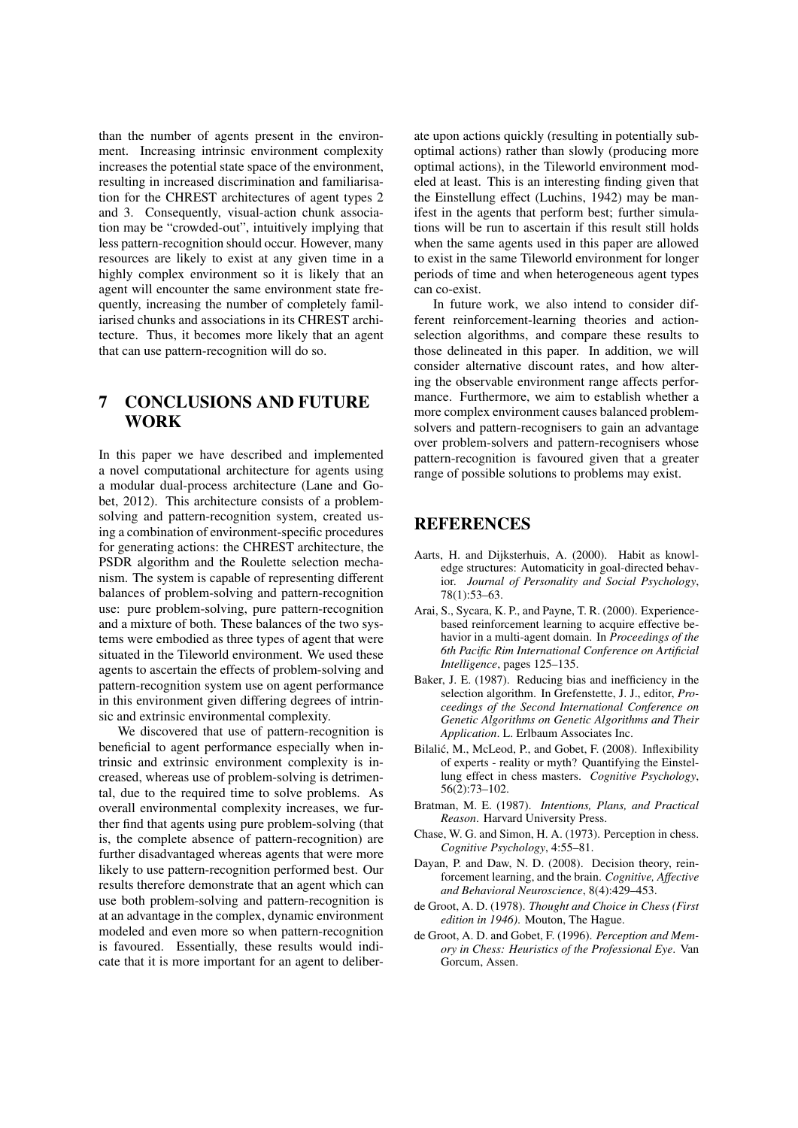than the number of agents present in the environment. Increasing intrinsic environment complexity increases the potential state space of the environment, resulting in increased discrimination and familiarisation for the CHREST architectures of agent types 2 and 3. Consequently, visual-action chunk association may be "crowded-out", intuitively implying that less pattern-recognition should occur. However, many resources are likely to exist at any given time in a highly complex environment so it is likely that an agent will encounter the same environment state frequently, increasing the number of completely familiarised chunks and associations in its CHREST architecture. Thus, it becomes more likely that an agent that can use pattern-recognition will do so.

# 7 CONCLUSIONS AND FUTURE WORK

In this paper we have described and implemented a novel computational architecture for agents using a modular dual-process architecture (Lane and Gobet, 2012). This architecture consists of a problemsolving and pattern-recognition system, created using a combination of environment-specific procedures for generating actions: the CHREST architecture, the PSDR algorithm and the Roulette selection mechanism. The system is capable of representing different balances of problem-solving and pattern-recognition use: pure problem-solving, pure pattern-recognition and a mixture of both. These balances of the two systems were embodied as three types of agent that were situated in the Tileworld environment. We used these agents to ascertain the effects of problem-solving and pattern-recognition system use on agent performance in this environment given differing degrees of intrinsic and extrinsic environmental complexity.

We discovered that use of pattern-recognition is beneficial to agent performance especially when intrinsic and extrinsic environment complexity is increased, whereas use of problem-solving is detrimental, due to the required time to solve problems. As overall environmental complexity increases, we further find that agents using pure problem-solving (that is, the complete absence of pattern-recognition) are further disadvantaged whereas agents that were more likely to use pattern-recognition performed best. Our results therefore demonstrate that an agent which can use both problem-solving and pattern-recognition is at an advantage in the complex, dynamic environment modeled and even more so when pattern-recognition is favoured. Essentially, these results would indicate that it is more important for an agent to deliberate upon actions quickly (resulting in potentially suboptimal actions) rather than slowly (producing more optimal actions), in the Tileworld environment modeled at least. This is an interesting finding given that the Einstellung effect (Luchins, 1942) may be manifest in the agents that perform best; further simulations will be run to ascertain if this result still holds when the same agents used in this paper are allowed to exist in the same Tileworld environment for longer periods of time and when heterogeneous agent types can co-exist.

In future work, we also intend to consider different reinforcement-learning theories and actionselection algorithms, and compare these results to those delineated in this paper. In addition, we will consider alternative discount rates, and how altering the observable environment range affects performance. Furthermore, we aim to establish whether a more complex environment causes balanced problemsolvers and pattern-recognisers to gain an advantage over problem-solvers and pattern-recognisers whose pattern-recognition is favoured given that a greater range of possible solutions to problems may exist.

# **REFERENCES**

- Aarts, H. and Dijksterhuis, A. (2000). Habit as knowledge structures: Automaticity in goal-directed behavior. *Journal of Personality and Social Psychology*, 78(1):53–63.
- Arai, S., Sycara, K. P., and Payne, T. R. (2000). Experiencebased reinforcement learning to acquire effective behavior in a multi-agent domain. In *Proceedings of the 6th Pacific Rim International Conference on Artificial Intelligence*, pages 125–135.
- Baker, J. E. (1987). Reducing bias and inefficiency in the selection algorithm. In Grefenstette, J. J., editor, *Proceedings of the Second International Conference on Genetic Algorithms on Genetic Algorithms and Their Application*. L. Erlbaum Associates Inc.
- Bilalić, M., McLeod, P., and Gobet, F. (2008). Inflexibility of experts - reality or myth? Quantifying the Einstellung effect in chess masters. *Cognitive Psychology*, 56(2):73–102.
- Bratman, M. E. (1987). *Intentions, Plans, and Practical Reason*. Harvard University Press.
- Chase, W. G. and Simon, H. A. (1973). Perception in chess. *Cognitive Psychology*, 4:55–81.
- Dayan, P. and Daw, N. D. (2008). Decision theory, reinforcement learning, and the brain. *Cognitive, Affective and Behavioral Neuroscience*, 8(4):429–453.
- de Groot, A. D. (1978). *Thought and Choice in Chess (First edition in 1946)*. Mouton, The Hague.
- de Groot, A. D. and Gobet, F. (1996). *Perception and Memory in Chess: Heuristics of the Professional Eye*. Van Gorcum, Assen.